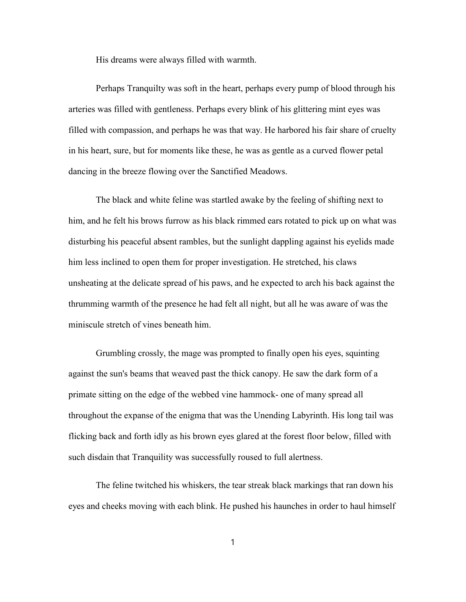His dreams were always filled with warmth.

Perhaps Tranquilty was soft in the heart, perhaps every pump of blood through his arteries was filled with gentleness. Perhaps every blink of his glittering mint eyes was filled with compassion, and perhaps he was that way. He harbored his fair share of cruelty in his heart, sure, but for moments like these, he was as gentle as a curved flower petal dancing in the breeze flowing over the Sanctified Meadows.

The black and white feline was startled awake by the feeling of shifting next to him, and he felt his brows furrow as his black rimmed ears rotated to pick up on what was disturbing his peaceful absent rambles, but the sunlight dappling against his eyelids made him less inclined to open them for proper investigation. He stretched, his claws unsheating at the delicate spread of his paws, and he expected to arch his back against the thrumming warmth of the presence he had felt all night, but all he was aware of was the miniscule stretch of vines beneath him.

Grumbling crossly, the mage was prompted to finally open his eyes, squinting against the sun's beams that weaved past the thick canopy. He saw the dark form of a primate sitting on the edge of the webbed vine hammock- one of many spread all throughout the expanse of the enigma that was the Unending Labyrinth. His long tail was flicking back and forth idly as his brown eyes glared at the forest floor below, filled with such disdain that Tranquility was successfully roused to full alertness.

The feline twitched his whiskers, the tear streak black markings that ran down his eyes and cheeks moving with each blink. He pushed his haunches in order to haul himself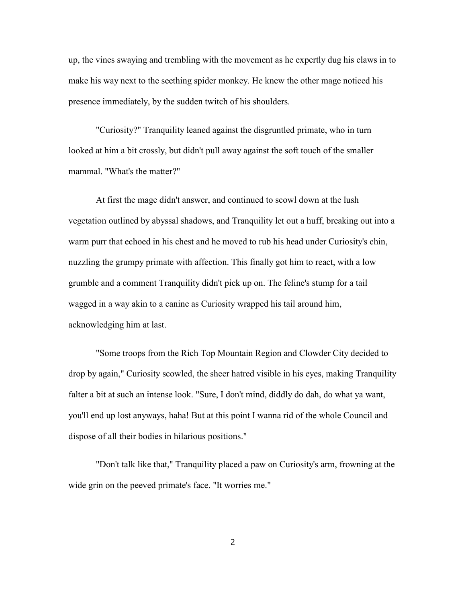up, the vines swaying and trembling with the movement as he expertly dug his claws in to make his way next to the seething spider monkey. He knew the other mage noticed his presence immediately, by the sudden twitch of his shoulders.

"Curiosity?" Tranquility leaned against the disgruntled primate, who in turn looked at him a bit crossly, but didn't pull away against the soft touch of the smaller mammal. "What's the matter?"

At first the mage didn't answer, and continued to scowl down at the lush vegetation outlined by abyssal shadows, and Tranquility let out a huff, breaking out into a warm purr that echoed in his chest and he moved to rub his head under Curiosity's chin, nuzzling the grumpy primate with affection. This finally got him to react, with a low grumble and a comment Tranquility didn't pick up on. The feline's stump for a tail wagged in a way akin to a canine as Curiosity wrapped his tail around him, acknowledging him at last.

"Some troops from the Rich Top Mountain Region and Clowder City decided to drop by again," Curiosity scowled, the sheer hatred visible in his eyes, making Tranquility falter a bit at such an intense look. "Sure, I don't mind, diddly do dah, do what ya want, you'll end up lost anyways, haha! But at this point I wanna rid of the whole Council and dispose of all their bodies in hilarious positions."

"Don't talk like that," Tranquility placed a paw on Curiosity's arm, frowning at the wide grin on the peeved primate's face. "It worries me."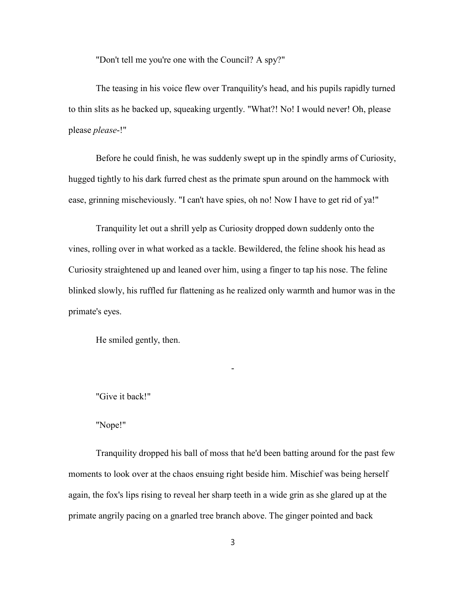"Don't tell me you're one with the Council? A spy?"

The teasing in his voice flew over Tranquility's head, and his pupils rapidly turned to thin slits as he backed up, squeaking urgently. "What?! No! I would never! Oh, please please *please*-!"

Before he could finish, he was suddenly swept up in the spindly arms of Curiosity, hugged tightly to his dark furred chest as the primate spun around on the hammock with ease, grinning mischeviously. "I can't have spies, oh no! Now I have to get rid of ya!"

Tranquility let out a shrill yelp as Curiosity dropped down suddenly onto the vines, rolling over in what worked as a tackle. Bewildered, the feline shook his head as Curiosity straightened up and leaned over him, using a finger to tap his nose. The feline blinked slowly, his ruffled fur flattening as he realized only warmth and humor was in the primate's eyes.

-

He smiled gently, then.

"Give it back!"

"Nope!"

Tranquility dropped his ball of moss that he'd been batting around for the past few moments to look over at the chaos ensuing right beside him. Mischief was being herself again, the fox's lips rising to reveal her sharp teeth in a wide grin as she glared up at the primate angrily pacing on a gnarled tree branch above. The ginger pointed and back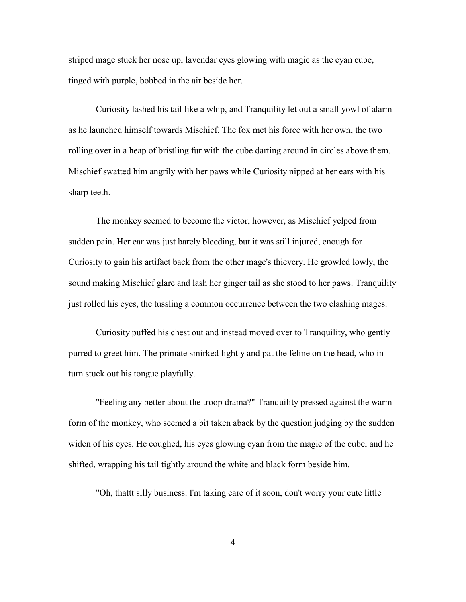striped mage stuck her nose up, lavendar eyes glowing with magic as the cyan cube, tinged with purple, bobbed in the air beside her.

Curiosity lashed his tail like a whip, and Tranquility let out a small yowl of alarm as he launched himself towards Mischief. The fox met his force with her own, the two rolling over in a heap of bristling fur with the cube darting around in circles above them. Mischief swatted him angrily with her paws while Curiosity nipped at her ears with his sharp teeth.

The monkey seemed to become the victor, however, as Mischief yelped from sudden pain. Her ear was just barely bleeding, but it was still injured, enough for Curiosity to gain his artifact back from the other mage's thievery. He growled lowly, the sound making Mischief glare and lash her ginger tail as she stood to her paws. Tranquility just rolled his eyes, the tussling a common occurrence between the two clashing mages.

Curiosity puffed his chest out and instead moved over to Tranquility, who gently purred to greet him. The primate smirked lightly and pat the feline on the head, who in turn stuck out his tongue playfully.

"Feeling any better about the troop drama?" Tranquility pressed against the warm form of the monkey, who seemed a bit taken aback by the question judging by the sudden widen of his eyes. He coughed, his eyes glowing cyan from the magic of the cube, and he shifted, wrapping his tail tightly around the white and black form beside him.

"Oh, thattt silly business. I'm taking care of it soon, don't worry your cute little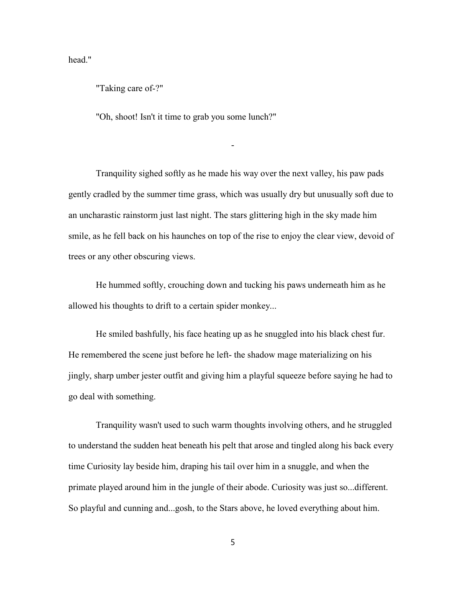head."

"Taking care of-?"

"Oh, shoot! Isn't it time to grab you some lunch?"

Tranquility sighed softly as he made his way over the next valley, his paw pads gently cradled by the summer time grass, which was usually dry but unusually soft due to an uncharastic rainstorm just last night. The stars glittering high in the sky made him smile, as he fell back on his haunches on top of the rise to enjoy the clear view, devoid of trees or any other obscuring views.

-

He hummed softly, crouching down and tucking his paws underneath him as he allowed his thoughts to drift to a certain spider monkey...

He smiled bashfully, his face heating up as he snuggled into his black chest fur. He remembered the scene just before he left- the shadow mage materializing on his jingly, sharp umber jester outfit and giving him a playful squeeze before saying he had to go deal with something.

Tranquility wasn't used to such warm thoughts involving others, and he struggled to understand the sudden heat beneath his pelt that arose and tingled along his back every time Curiosity lay beside him, draping his tail over him in a snuggle, and when the primate played around him in the jungle of their abode. Curiosity was just so...different. So playful and cunning and...gosh, to the Stars above, he loved everything about him.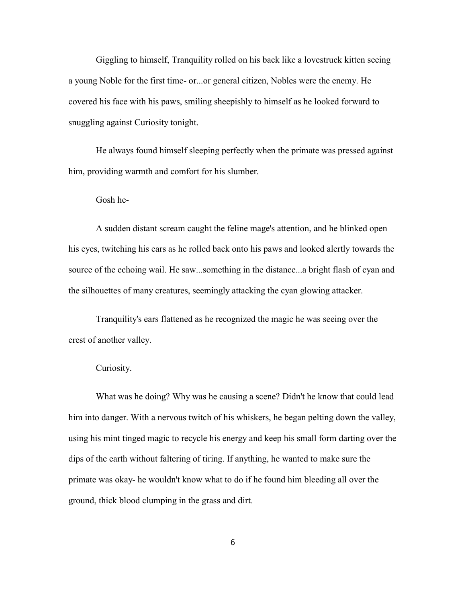Giggling to himself, Tranquility rolled on his back like a lovestruck kitten seeing a young Noble for the first time- or...or general citizen, Nobles were the enemy. He covered his face with his paws, smiling sheepishly to himself as he looked forward to snuggling against Curiosity tonight.

He always found himself sleeping perfectly when the primate was pressed against him, providing warmth and comfort for his slumber.

## Gosh he-

A sudden distant scream caught the feline mage's attention, and he blinked open his eyes, twitching his ears as he rolled back onto his paws and looked alertly towards the source of the echoing wail. He saw...something in the distance...a bright flash of cyan and the silhouettes of many creatures, seemingly attacking the cyan glowing attacker.

Tranquility's ears flattened as he recognized the magic he was seeing over the crest of another valley.

## Curiosity.

What was he doing? Why was he causing a scene? Didn't he know that could lead him into danger. With a nervous twitch of his whiskers, he began pelting down the valley, using his mint tinged magic to recycle his energy and keep his small form darting over the dips of the earth without faltering of tiring. If anything, he wanted to make sure the primate was okay- he wouldn't know what to do if he found him bleeding all over the ground, thick blood clumping in the grass and dirt.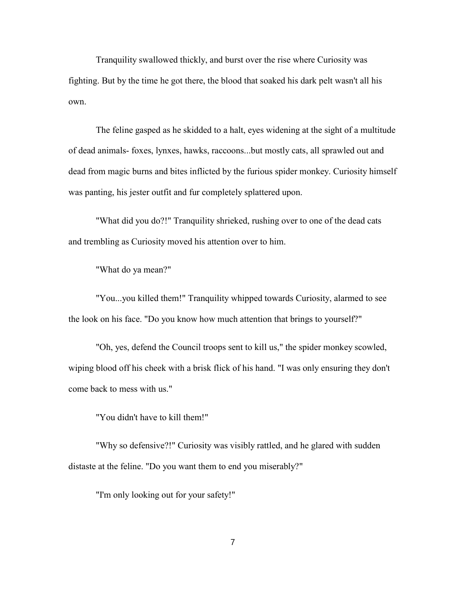Tranquility swallowed thickly, and burst over the rise where Curiosity was fighting. But by the time he got there, the blood that soaked his dark pelt wasn't all his own.

The feline gasped as he skidded to a halt, eyes widening at the sight of a multitude of dead animals- foxes, lynxes, hawks, raccoons...but mostly cats, all sprawled out and dead from magic burns and bites inflicted by the furious spider monkey. Curiosity himself was panting, his jester outfit and fur completely splattered upon.

"What did you do?!" Tranquility shrieked, rushing over to one of the dead cats and trembling as Curiosity moved his attention over to him.

"What do ya mean?"

"You...you killed them!" Tranquility whipped towards Curiosity, alarmed to see the look on his face. "Do you know how much attention that brings to yourself?"

"Oh, yes, defend the Council troops sent to kill us," the spider monkey scowled, wiping blood off his cheek with a brisk flick of his hand. "I was only ensuring they don't come back to mess with us."

"You didn't have to kill them!"

"Why so defensive?!" Curiosity was visibly rattled, and he glared with sudden distaste at the feline. "Do you want them to end you miserably?"

"I'm only looking out for your safety!"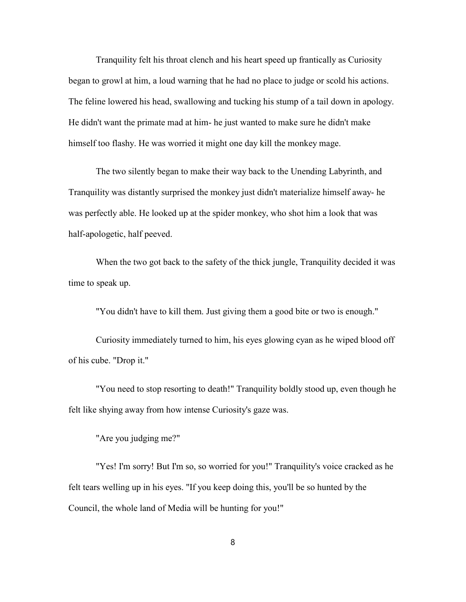Tranquility felt his throat clench and his heart speed up frantically as Curiosity began to growl at him, a loud warning that he had no place to judge or scold his actions. The feline lowered his head, swallowing and tucking his stump of a tail down in apology. He didn't want the primate mad at him- he just wanted to make sure he didn't make himself too flashy. He was worried it might one day kill the monkey mage.

The two silently began to make their way back to the Unending Labyrinth, and Tranquility was distantly surprised the monkey just didn't materialize himself away- he was perfectly able. He looked up at the spider monkey, who shot him a look that was half-apologetic, half peeved.

When the two got back to the safety of the thick jungle, Tranquility decided it was time to speak up.

"You didn't have to kill them. Just giving them a good bite or two is enough."

Curiosity immediately turned to him, his eyes glowing cyan as he wiped blood off of his cube. "Drop it."

"You need to stop resorting to death!" Tranquility boldly stood up, even though he felt like shying away from how intense Curiosity's gaze was.

"Are you judging me?"

"Yes! I'm sorry! But I'm so, so worried for you!" Tranquility's voice cracked as he felt tears welling up in his eyes. "If you keep doing this, you'll be so hunted by the Council, the whole land of Media will be hunting for you!"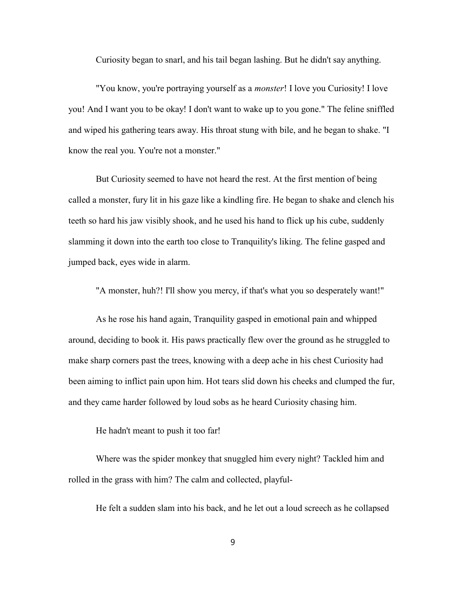Curiosity began to snarl, and his tail began lashing. But he didn't say anything.

"You know, you're portraying yourself as a monster! I love you Curiosity! I love you! And I want you to be okay! I don't want to wake up to you gone." The feline sniffled and wiped his gathering tears away. His throat stung with bile, and he began to shake. "I know the real you. You're not a monster."

But Curiosity seemed to have not heard the rest. At the first mention of being called a monster, fury lit in his gaze like a kindling fire. He began to shake and clench his teeth so hard his jaw visibly shook, and he used his hand to flick up his cube, suddenly slamming it down into the earth too close to Tranquility's liking. The feline gasped and jumped back, eyes wide in alarm.

"A monster, huh?! I'll show you mercy, if that's what you so desperately want!"

As he rose his hand again, Tranquility gasped in emotional pain and whipped around, deciding to book it. His paws practically flew over the ground as he struggled to make sharp corners past the trees, knowing with a deep ache in his chest Curiosity had been aiming to inflict pain upon him. Hot tears slid down his cheeks and clumped the fur, and they came harder followed by loud sobs as he heard Curiosity chasing him.

He hadn't meant to push it too far!

Where was the spider monkey that snuggled him every night? Tackled him and rolled in the grass with him? The calm and collected, playful-

He felt a sudden slam into his back, and he let out a loud screech as he collapsed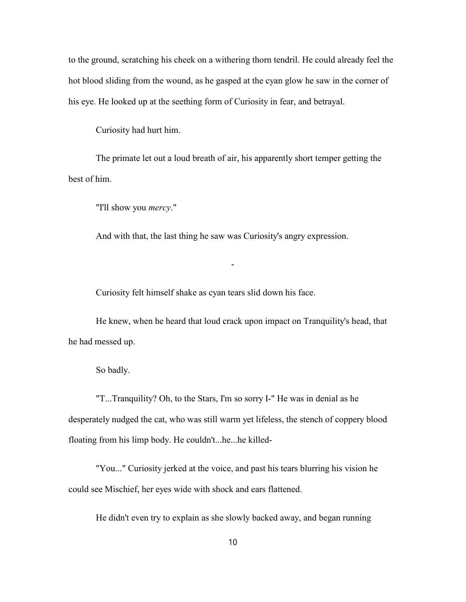to the ground, scratching his cheek on a withering thorn tendril. He could already feel the hot blood sliding from the wound, as he gasped at the cyan glow he saw in the corner of his eye. He looked up at the seething form of Curiosity in fear, and betrayal.

Curiosity had hurt him.

The primate let out a loud breath of air, his apparently short temper getting the best of him.

"I'll show you *mercy*."

And with that, the last thing he saw was Curiosity's angry expression.

-

Curiosity felt himself shake as cyan tears slid down his face.

He knew, when he heard that loud crack upon impact on Tranquility's head, that he had messed up.

So badly.

"T...Tranquility? Oh, to the Stars, I'm so sorry I-" He was in denial as he desperately nudged the cat, who was still warm yet lifeless, the stench of coppery blood floating from his limp body. He couldn't...he...he killed-

"You..." Curiosity jerked at the voice, and past his tears blurring his vision he could see Mischief, her eyes wide with shock and ears flattened.

He didn't even try to explain as she slowly backed away, and began running